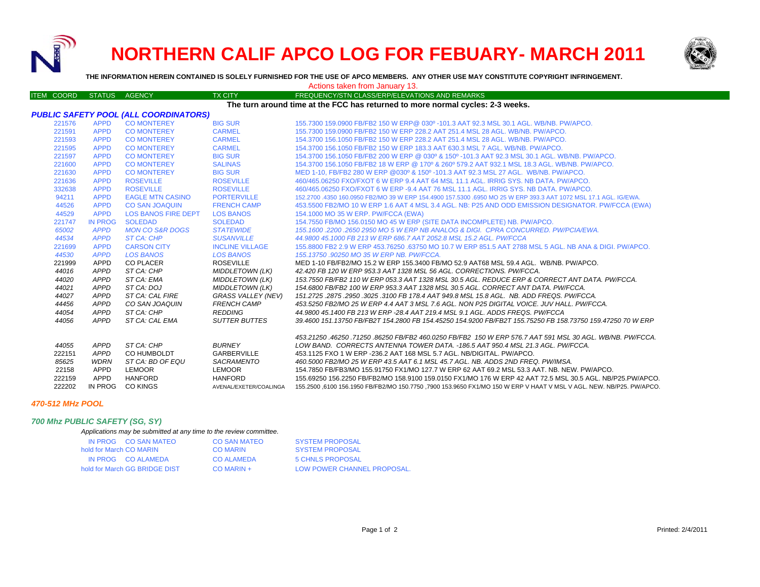

# **NORTHERN CALIF APCO LOG FOR FEBUARY- MARCH 2011**



**THE INFORMATION HEREIN CONTAINED IS SOLELY FURNISHED FOR THE USE OF APCO MEMBERS. ANY OTHER USE MAY CONSTITUTE COPYRIGHT INFRINGEMENT.**

| Actions taken from January 13.                                                 |                |                            |                           |                                                                                                                                                                                              |  |  |  |  |  |
|--------------------------------------------------------------------------------|----------------|----------------------------|---------------------------|----------------------------------------------------------------------------------------------------------------------------------------------------------------------------------------------|--|--|--|--|--|
| <b>ITEM COORD</b>                                                              | STATUS AGENCY  |                            | <b>TX CITY</b>            | FREQUENCY/STN CLASS/ERP/ELEVATIONS AND REMARKS                                                                                                                                               |  |  |  |  |  |
| The turn around time at the FCC has returned to more normal cycles: 2-3 weeks. |                |                            |                           |                                                                                                                                                                                              |  |  |  |  |  |
| PUBLIC SAFETY POOL (ALL COORDINATORS)                                          |                |                            |                           |                                                                                                                                                                                              |  |  |  |  |  |
| 221576                                                                         | <b>APPD</b>    | <b>CO MONTEREY</b>         | <b>BIG SUR</b>            | 155.7300 159.0900 FB/FB2 150 W ERP@ 030º -101.3 AAT 92.3 MSL 30.1 AGL, WB/NB, PW/APCO,                                                                                                       |  |  |  |  |  |
| 221591                                                                         | <b>APPD</b>    | <b>CO MONTEREY</b>         | <b>CARMEL</b>             | 155,7300 159,0900 FB/FB2 150 W ERP 228.2 AAT 251.4 MSL 28 AGL, WB/NB, PW/APCO,                                                                                                               |  |  |  |  |  |
| 221593                                                                         | <b>APPD</b>    | <b>CO MONTEREY</b>         | <b>CARMEL</b>             | 154,3700 156,1050 FB/FB2 150 W ERP 228.2 AAT 251.4 MSL 28 AGL, WB/NB, PW/APCO,                                                                                                               |  |  |  |  |  |
| 221595                                                                         | <b>APPD</b>    | <b>CO MONTEREY</b>         | <b>CARMEL</b>             | 154,3700 156,1050 FB/FB2 150 W ERP 183.3 AAT 630.3 MSL 7 AGL, WB/NB, PW/APCO,                                                                                                                |  |  |  |  |  |
| 221597                                                                         | <b>APPD</b>    | <b>CO MONTEREY</b>         | <b>BIG SUR</b>            | 154.3700 156.1050 FB/FB2 200 W ERP @ 030° & 150° -101.3 AAT 92.3 MSL 30.1 AGL, WB/NB, PW/APCO,                                                                                               |  |  |  |  |  |
| 221600                                                                         | <b>APPD</b>    | <b>CO MONTEREY</b>         | <b>SALINAS</b>            | 154.3700 156.1050 FB/FB2 18 W ERP @ 170° & 260° 579.2 AAT 932.1 MSL 18.3 AGL. WB/NB. PW/APCO.                                                                                                |  |  |  |  |  |
| 221630                                                                         | <b>APPD</b>    | <b>CO MONTEREY</b>         | <b>BIG SUR</b>            | MED 1-10, FB/FB2 280 W ERP @030° & 150° -101.3 AAT 92.3 MSL 27 AGL. WB/NB. PW/APCO.                                                                                                          |  |  |  |  |  |
| 221636                                                                         | <b>APPD</b>    | <b>ROSEVILLE</b>           | <b>ROSEVILLE</b>          | 460/465,06250 FXO/FXOT 6 W ERP 9.4 AAT 64 MSL 11.1 AGL. IRRIG SYS, NB DATA, PW/APCO,                                                                                                         |  |  |  |  |  |
| 332638                                                                         | <b>APPD</b>    | <b>ROSEVILLE</b>           | <b>ROSEVILLE</b>          | 460/465,06250 FXO/FXOT 6 W ERP -9.4 AAT 76 MSL 11.1 AGL, IRRIG SYS, NB DATA, PW/APCO,                                                                                                        |  |  |  |  |  |
| 94211                                                                          | <b>APPD</b>    | <b>EAGLE MTN CASINO</b>    | <b>PORTERVILLE</b>        | 152,2700 .4350 160,0950 FB2/MO 39 W ERP 154,4900 157,5300 .6950 MO 25 W ERP 393.3 AAT 1072 MSL 17.1 AGL, IG/EWA                                                                              |  |  |  |  |  |
| 44526                                                                          | <b>APPD</b>    | <b>CO SAN JOAQUIN</b>      | <b>FRENCH CAMP</b>        | 453.5500 FB2/MO 10 W ERP 1.6 AAT 4 MSL 3.4 AGL. NB: P25 AND ODD EMISSION DESIGNATOR. PW/FCCA (EWA)                                                                                           |  |  |  |  |  |
| 44529                                                                          | <b>APPD</b>    | <b>LOS BANOS FIRE DEPT</b> | <b>LOS BANOS</b>          | 154.1000 MO 35 W ERP. PW/FCCA (EWA)                                                                                                                                                          |  |  |  |  |  |
| 221747                                                                         | <b>IN PROG</b> | <b>SOLEDAD</b>             | <b>SOLEDAD</b>            | 154.7550 FB/MO 156.0150 MO 45 W ERP (SITE DATA INCOMPLETE) NB. PW/APCO.                                                                                                                      |  |  |  |  |  |
| 65002                                                                          | <b>APPD</b>    | <b>MON CO S&amp;R DOGS</b> | <b>STATEWIDE</b>          | 155.1600.2200.2650 2950 MO 5 W ERP NB ANALOG & DIGI. CPRA CONCURRED. PW/PCIA/EWA.                                                                                                            |  |  |  |  |  |
| 44534                                                                          | <b>APPD</b>    | <b>ST CA: CHP</b>          | <b>SUSANVILLE</b>         | 44.9800 45.1000 FB 213 W ERP 686.7 AAT 2052.8 MSL 15.2 AGL. PW/FCCA                                                                                                                          |  |  |  |  |  |
| 221699                                                                         | <b>APPD</b>    | <b>CARSON CITY</b>         | <b>INCLINE VILLAGE</b>    | 155.8800 FB2 2.9 W ERP 453.76250 .63750 MO 10.7 W ERP 851.5 AAT 2788 MSL 5 AGL. NB ANA & DIGI. PW/APCO.                                                                                      |  |  |  |  |  |
| 44530                                                                          | <b>APPD</b>    | <b>LOS BANOS</b>           | <b>LOS BANOS</b>          | 155.13750.90250 MO 35 W ERP NB. PW/FCCA.                                                                                                                                                     |  |  |  |  |  |
| 221999                                                                         | APPD           | <b>CO PLACER</b>           | <b>ROSEVILLE</b>          | MED 1-10 FB/FB2/MO 15.2 W ERP 155.3400 FB/MO 52.9 AAT68 MSL 59.4 AGL. WB/NB, PW/APCO,                                                                                                        |  |  |  |  |  |
| 44016                                                                          | APPD           | ST CA: CHP                 | <b>MIDDLETOWN (LK)</b>    | 42.420 FB 120 W ERP 953.3 AAT 1328 MSL 56 AGL. CORRECTIONS. PW/FCCA.                                                                                                                         |  |  |  |  |  |
| 44020                                                                          | <b>APPD</b>    | ST CA: EMA                 | <b>MIDDLETOWN (LK)</b>    | 153.7550 FB/FB2 110 W ERP 053.3 AAT 1328 MSL 30.5 AGL. REDUCE ERP & CORRECT ANT DATA. PW/FCCA.                                                                                               |  |  |  |  |  |
| 44021                                                                          | APPD           | ST CA: DOJ                 | <b>MIDDLETOWN (LK)</b>    | 154.6800 FB/FB2 100 W ERP 953.3 AAT 1328 MSL 30.5 AGL. CORRECT ANT DATA. PW/FCCA.                                                                                                            |  |  |  |  |  |
| 44027                                                                          | APPD           | ST CA: CAL FIRE            | <b>GRASS VALLEY (NEV)</b> | 151.2725.2875.2950.3025.3100 FB 178.4 AAT 949.8 MSL 15.8 AGL. NB. ADD FREQS. PW/FCCA.                                                                                                        |  |  |  |  |  |
| 44456                                                                          | APPD           | CO SAN JOAQUIN             | <b>FRENCH CAMP</b>        | 453.5250 FB2/MO 25 W ERP 4.4 AAT 3 MSL 7.6 AGL. NON P25 DIGITAL VOICE. JUV HALL. PW/FCCA.                                                                                                    |  |  |  |  |  |
| 44054                                                                          | APPD           | ST CA: CHP                 | <b>REDDING</b>            | 44,9800 45,1400 FB 213 W ERP -28.4 AAT 219.4 MSL 9.1 AGL, ADDS FREQS, PW/FCCA                                                                                                                |  |  |  |  |  |
| 44056                                                                          | APPD           | ST CA: CAL EMA             | <b>SUTTER BUTTES</b>      | 39.4600 151.13750 FB/FB2T 154.2800 FB 154.45250 154.9200 FB/FB2T 155.75250 FB 158.73750 159.47250 70 W ERP                                                                                   |  |  |  |  |  |
|                                                                                |                |                            |                           |                                                                                                                                                                                              |  |  |  |  |  |
|                                                                                |                |                            | <b>BURNEY</b>             | .453.21250 .46250 .71250 .86250 FB/FB2 460.0250 FB/FB2 .150 W ERP 576.7 AAT 591 MSL 30 AGL. WB/NB. PW/FCCA<br>LOW BAND. CORRECTS ANTENNA TOWER DATA. -186.5 AAT 950.4 MSL 21.3 AGL. PW/FCCA. |  |  |  |  |  |
| 44055<br>222151                                                                | APPD<br>APPD   | ST CA: CHP<br>CO HUMBOLDT  | GARBERVILLE               | 453.1125 FXO 1 W ERP -236.2 AAT 168 MSL 5.7 AGL. NB/DIGITAL. PW/APCO.                                                                                                                        |  |  |  |  |  |
| 85625                                                                          | WDRN           | ST CA: BD OF EQU           | SACRAMENTO                | 460.5000 FB2/MO 25 W ERP 43.5 AAT 6.1 MSL 45.7 AGL. NB. ADDS 2ND FREQ. PW/IMSA.                                                                                                              |  |  |  |  |  |
| 22158                                                                          | APPD           | LEMOOR                     | <b>LEMOOR</b>             | 154.7850 FB/FB3/MO 155.91750 FX1/MO 127.7 W ERP 62 AAT 69.2 MSL 53.3 AAT. NB. NEW. PW/APCO.                                                                                                  |  |  |  |  |  |
| 222159                                                                         | APPD           | <b>HANFORD</b>             | <b>HANFORD</b>            | 155.69250 156.2250 FB/FB2/MO 158.9100 159.0150 FX1/MO 176 W ERP 42 AAT 72.5 MSL 30.5 AGL. NB/P25.PW/APCO.                                                                                    |  |  |  |  |  |
| 222202                                                                         |                | IN PROG CO KINGS           | AVENAL/EXETER/COALINGA    | .155.2500 ,6100 156.1950 FB/FB2/MO 150.7750 ,7900 153.9650 FX1/MO 150 W ERP V HAAT V MSL V AGL. NEW. NB/P25. PW/APCO                                                                         |  |  |  |  |  |
|                                                                                |                |                            |                           |                                                                                                                                                                                              |  |  |  |  |  |

# *470-512 MHz POOL*

# *700 Mhz PUBLIC SAFETY (SG, SY)*

#### *Applications may be submitted at any time to the review committee.*

| IN PROG CO SAN MATEO          | CO SAN MATEO      | <b>SYSTEM PROPOSAL</b>      |
|-------------------------------|-------------------|-----------------------------|
| hold for March CO MARIN       | CO MARIN          | <b>SYSTEM PROPOSAL</b>      |
| IN PROG CO ALAMEDA            | <b>CO ALAMEDA</b> | 5 CHNLS PROPOSAL            |
| hold for March GG BRIDGE DIST | $CO$ MARIN +      | LOW POWER CHANNEL PROPOSAL. |